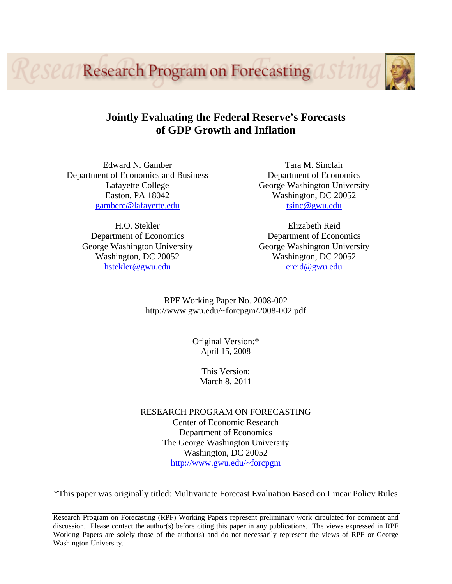**Research Program on Forecasting** 

# **Jointly Evaluating the Federal Reserve's Forecasts of GDP Growth and Inflation**

Edward N. Gamber Department of Economics and Business Lafayette College Easton, PA 18042 gambere@lafayette.edu

> H.O. Stekler Department of Economics George Washington University Washington, DC 20052 hstekler@gwu.edu

Tara M. Sinclair Department of Economics George Washington University Washington, DC 20052 tsinc@gwu.edu

Elizabeth Reid Department of Economics George Washington University Washington, DC 20052 ereid@gwu.edu

RPF Working Paper No. 2008-002 http://www.gwu.edu/~forcpgm/2008-002.pdf

> Original Version:\* April 15, 2008

> > This Version: March 8, 2011

RESEARCH PROGRAM ON FORECASTING Center of Economic Research Department of Economics The George Washington University Washington, DC 20052 http://www.gwu.edu/~forcpgm

\*This paper was originally titled: Multivariate Forecast Evaluation Based on Linear Policy Rules

Research Program on Forecasting (RPF) Working Papers represent preliminary work circulated for comment and discussion. Please contact the author(s) before citing this paper in any publications. The views expressed in RPF Working Papers are solely those of the author(s) and do not necessarily represent the views of RPF or George Washington University.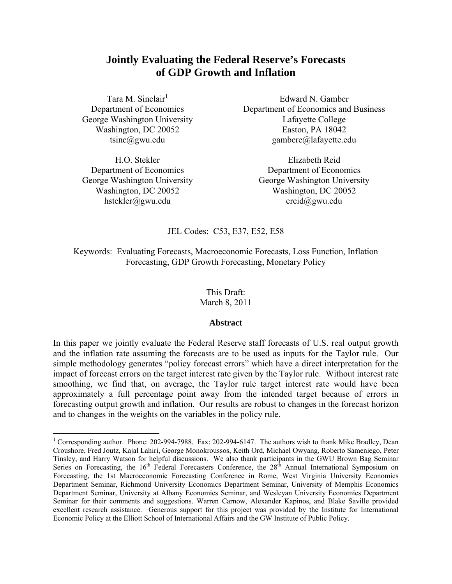# **Jointly Evaluating the Federal Reserve's Forecasts of GDP Growth and Inflation**

Tara M. Sinclair $<sup>1</sup>$ </sup> Department of Economics George Washington University Washington, DC 20052 tsinc@gwu.edu

H.O. Stekler Department of Economics George Washington University Washington, DC 20052 hstekler@gwu.edu

 $\overline{a}$ 

Edward N. Gamber Department of Economics and Business Lafayette College Easton, PA 18042 gambere@lafayette.edu

> Elizabeth Reid Department of Economics George Washington University Washington, DC 20052 ereid@gwu.edu

## JEL Codes: C53, E37, E52, E58

Keywords: Evaluating Forecasts, Macroeconomic Forecasts, Loss Function, Inflation Forecasting, GDP Growth Forecasting, Monetary Policy

## This Draft:

March 8, 2011

#### **Abstract**

In this paper we jointly evaluate the Federal Reserve staff forecasts of U.S. real output growth and the inflation rate assuming the forecasts are to be used as inputs for the Taylor rule. Our simple methodology generates "policy forecast errors" which have a direct interpretation for the impact of forecast errors on the target interest rate given by the Taylor rule. Without interest rate smoothing, we find that, on average, the Taylor rule target interest rate would have been approximately a full percentage point away from the intended target because of errors in forecasting output growth and inflation. Our results are robust to changes in the forecast horizon and to changes in the weights on the variables in the policy rule.

<sup>&</sup>lt;sup>1</sup> Corresponding author. Phone: 202-994-7988. Fax: 202-994-6147. The authors wish to thank Mike Bradley, Dean Croushore, Fred Joutz, Kajal Lahiri, George Monokroussos, Keith Ord, Michael Owyang, Roberto Sameniego, Peter Tinsley, and Harry Watson for helpful discussions. We also thank participants in the GWU Brown Bag Seminar Series on Forecasting, the 16<sup>th</sup> Federal Forecasters Conference, the 28<sup>th</sup> Annual International Symposium on Forecasting, the 1st Macroeconomic Forecasting Conference in Rome, West Virginia University Economics Department Seminar, Richmond University Economics Department Seminar, University of Memphis Economics Department Seminar, University at Albany Economics Seminar, and Wesleyan University Economics Department Seminar for their comments and suggestions. Warren Carnow, Alexander Kapinos, and Blake Saville provided excellent research assistance. Generous support for this project was provided by the Institute for International Economic Policy at the Elliott School of International Affairs and the GW Institute of Public Policy.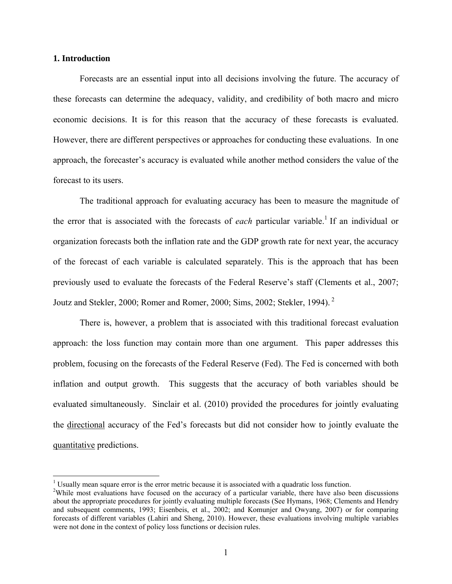#### **1. Introduction**

 $\overline{a}$ 

Forecasts are an essential input into all decisions involving the future. The accuracy of these forecasts can determine the adequacy, validity, and credibility of both macro and micro economic decisions. It is for this reason that the accuracy of these forecasts is evaluated. However, there are different perspectives or approaches for conducting these evaluations. In one approach, the forecaster's accuracy is evaluated while another method considers the value of the forecast to its users.

The traditional approach for evaluating accuracy has been to measure the magnitude of the error that is associated with the forecasts of *each* particular variable.<sup>1</sup> If an individual or organization forecasts both the inflation rate and the GDP growth rate for next year, the accuracy of the forecast of each variable is calculated separately. This is the approach that has been previously used to evaluate the forecasts of the Federal Reserve's staff (Clements et al., 2007; Joutz and Stekler, 2000; Romer and Romer, 2000; Sims, 2002; Stekler, 1994). 2

There is, however, a problem that is associated with this traditional forecast evaluation approach: the loss function may contain more than one argument. This paper addresses this problem, focusing on the forecasts of the Federal Reserve (Fed). The Fed is concerned with both inflation and output growth. This suggests that the accuracy of both variables should be evaluated simultaneously. Sinclair et al. (2010) provided the procedures for jointly evaluating the directional accuracy of the Fed's forecasts but did not consider how to jointly evaluate the quantitative predictions.

<sup>&</sup>lt;sup>1</sup> Usually mean square error is the error metric because it is associated with a quadratic loss function.  $2W$ hilo meet evaluations have focused on the securear of a pertialler veriable, there have also be

<sup>&</sup>lt;sup>2</sup>While most evaluations have focused on the accuracy of a particular variable, there have also been discussions about the appropriate procedures for jointly evaluating multiple forecasts (See Hymans, 1968; Clements and Hendry and subsequent comments, 1993; Eisenbeis, et al., 2002; and Komunjer and Owyang, 2007) or for comparing forecasts of different variables (Lahiri and Sheng, 2010). However, these evaluations involving multiple variables were not done in the context of policy loss functions or decision rules.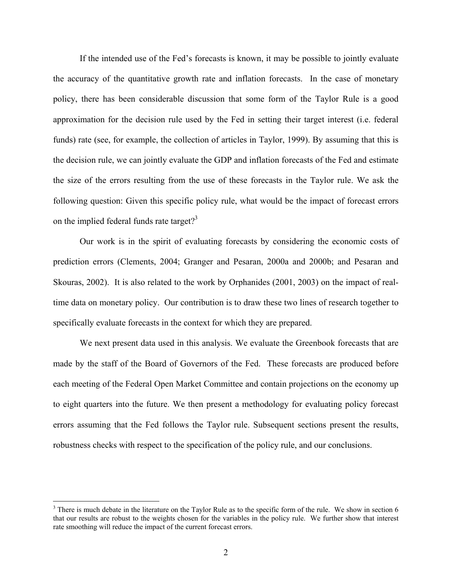If the intended use of the Fed's forecasts is known, it may be possible to jointly evaluate the accuracy of the quantitative growth rate and inflation forecasts. In the case of monetary policy, there has been considerable discussion that some form of the Taylor Rule is a good approximation for the decision rule used by the Fed in setting their target interest (i.e. federal funds) rate (see, for example, the collection of articles in Taylor, 1999). By assuming that this is the decision rule, we can jointly evaluate the GDP and inflation forecasts of the Fed and estimate the size of the errors resulting from the use of these forecasts in the Taylor rule. We ask the following question: Given this specific policy rule, what would be the impact of forecast errors on the implied federal funds rate target? $3$ 

Our work is in the spirit of evaluating forecasts by considering the economic costs of prediction errors (Clements, 2004; Granger and Pesaran, 2000a and 2000b; and Pesaran and Skouras, 2002). It is also related to the work by Orphanides (2001, 2003) on the impact of realtime data on monetary policy. Our contribution is to draw these two lines of research together to specifically evaluate forecasts in the context for which they are prepared.

We next present data used in this analysis. We evaluate the Greenbook forecasts that are made by the staff of the Board of Governors of the Fed. These forecasts are produced before each meeting of the Federal Open Market Committee and contain projections on the economy up to eight quarters into the future. We then present a methodology for evaluating policy forecast errors assuming that the Fed follows the Taylor rule. Subsequent sections present the results, robustness checks with respect to the specification of the policy rule, and our conclusions.

1

 $3$  There is much debate in the literature on the Taylor Rule as to the specific form of the rule. We show in section 6 that our results are robust to the weights chosen for the variables in the policy rule. We further show that interest rate smoothing will reduce the impact of the current forecast errors.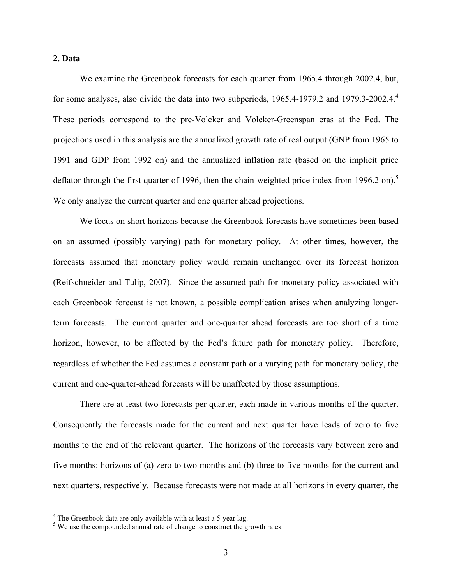### **2. Data**

We examine the Greenbook forecasts for each quarter from 1965.4 through 2002.4, but, for some analyses, also divide the data into two subperiods,  $1965.4$ -1979.2 and  $1979.3$ -2002.4.<sup>4</sup> These periods correspond to the pre-Volcker and Volcker-Greenspan eras at the Fed. The projections used in this analysis are the annualized growth rate of real output (GNP from 1965 to 1991 and GDP from 1992 on) and the annualized inflation rate (based on the implicit price deflator through the first quarter of 1996, then the chain-weighted price index from 1996.2 on).<sup>5</sup> We only analyze the current quarter and one quarter ahead projections.

We focus on short horizons because the Greenbook forecasts have sometimes been based on an assumed (possibly varying) path for monetary policy. At other times, however, the forecasts assumed that monetary policy would remain unchanged over its forecast horizon (Reifschneider and Tulip, 2007). Since the assumed path for monetary policy associated with each Greenbook forecast is not known, a possible complication arises when analyzing longerterm forecasts. The current quarter and one-quarter ahead forecasts are too short of a time horizon, however, to be affected by the Fed's future path for monetary policy. Therefore, regardless of whether the Fed assumes a constant path or a varying path for monetary policy, the current and one-quarter-ahead forecasts will be unaffected by those assumptions.

There are at least two forecasts per quarter, each made in various months of the quarter. Consequently the forecasts made for the current and next quarter have leads of zero to five months to the end of the relevant quarter. The horizons of the forecasts vary between zero and five months: horizons of (a) zero to two months and (b) three to five months for the current and next quarters, respectively. Because forecasts were not made at all horizons in every quarter, the

 $\overline{a}$ 

<sup>&</sup>lt;sup>4</sup> The Greenbook data are only available with at least a 5-year lag.

<sup>&</sup>lt;sup>5</sup> We use the compounded annual rate of change to construct the growth rates.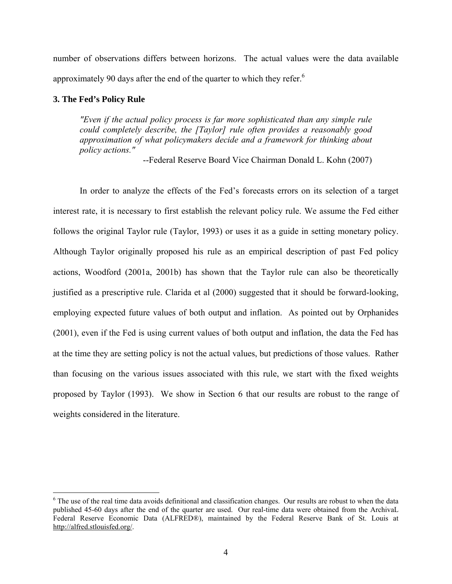number of observations differs between horizons. The actual values were the data available approximately 90 days after the end of the quarter to which they refer.<sup>6</sup>

### **3. The Fed's Policy Rule**

 $\overline{a}$ 

*"Even if the actual policy process is far more sophisticated than any simple rule could completely describe, the [Taylor] rule often provides a reasonably good approximation of what policymakers decide and a framework for thinking about policy actions."* 

--Federal Reserve Board Vice Chairman Donald L. Kohn (2007)

In order to analyze the effects of the Fed's forecasts errors on its selection of a target interest rate, it is necessary to first establish the relevant policy rule. We assume the Fed either follows the original Taylor rule (Taylor, 1993) or uses it as a guide in setting monetary policy. Although Taylor originally proposed his rule as an empirical description of past Fed policy actions, Woodford (2001a, 2001b) has shown that the Taylor rule can also be theoretically justified as a prescriptive rule. Clarida et al (2000) suggested that it should be forward-looking, employing expected future values of both output and inflation. As pointed out by Orphanides (2001), even if the Fed is using current values of both output and inflation, the data the Fed has at the time they are setting policy is not the actual values, but predictions of those values. Rather than focusing on the various issues associated with this rule, we start with the fixed weights proposed by Taylor (1993). We show in Section 6 that our results are robust to the range of weights considered in the literature.

 $6$  The use of the real time data avoids definitional and classification changes. Our results are robust to when the data published 45-60 days after the end of the quarter are used. Our real-time data were obtained from the ArchivaL Federal Reserve Economic Data (ALFRED®), maintained by the Federal Reserve Bank of St. Louis at http://alfred.stlouisfed.org/.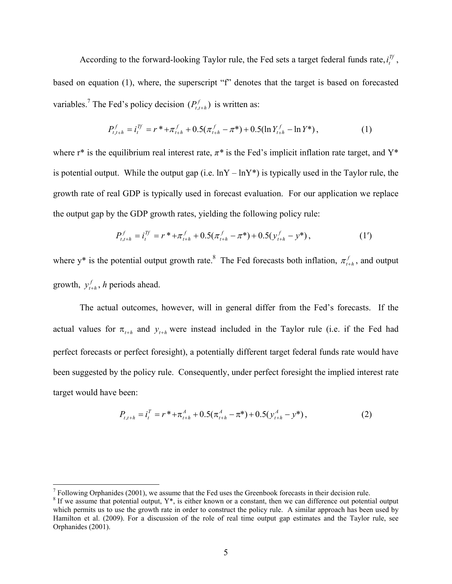According to the forward-looking Taylor rule, the Fed sets a target federal funds rate,  $i_t^{T_f}$ , based on equation (1), where, the superscript "f" denotes that the target is based on forecasted variables.<sup>7</sup> The Fed's policy decision  $(P_{t,t+h}^f)$  is written as:

$$
P_{t,t+h}^f = i_t^{Tf} = r^* + \pi_{t+h}^f + 0.5(\pi_{t+h}^f - \pi^*) + 0.5(\ln Y_{t+h}^f - \ln Y^*), \qquad (1)
$$

where  $r^*$  is the equilibrium real interest rate,  $\pi^*$  is the Fed's implicit inflation rate target, and  $Y^*$ is potential output. While the output gap (i.e.  $\ln Y - \ln Y^*$ ) is typically used in the Taylor rule, the growth rate of real GDP is typically used in forecast evaluation. For our application we replace the output gap by the GDP growth rates, yielding the following policy rule:

$$
P_{t,t+h}^f = i_t^{Tf} = r^* + \pi_{t+h}^f + 0.5(\pi_{t+h}^f - \pi^*) + 0.5(y_{t+h}^f - y^*),
$$
 (1')

where y<sup>\*</sup> is the potential output growth rate.<sup>8</sup> The Fed forecasts both inflation,  $\pi_{t+h}^f$ , and output growth,  $y_{t+h}^f$ , *h* periods ahead.

The actual outcomes, however, will in general differ from the Fed's forecasts. If the actual values for  $\pi_{t+h}$  and  $y_{t+h}$  were instead included in the Taylor rule (i.e. if the Fed had perfect forecasts or perfect foresight), a potentially different target federal funds rate would have been suggested by the policy rule. Consequently, under perfect foresight the implied interest rate target would have been:

$$
P_{t,t+h} = i_t^T = r^* + \pi_{t+h}^A + 0.5(\pi_{t+h}^A - \pi^*) + 0.5(y_{t+h}^A - y^*),
$$
\n(2)

 $\overline{a}$ 

<sup>&</sup>lt;sup>7</sup> Following Orphanides (2001), we assume that the Fed uses the Greenbook forecasts in their decision rule.

 $8$  If we assume that potential output, Y\*, is either known or a constant, then we can difference out potential output which permits us to use the growth rate in order to construct the policy rule. A similar approach has been used by Hamilton et al. (2009). For a discussion of the role of real time output gap estimates and the Taylor rule, see Orphanides (2001).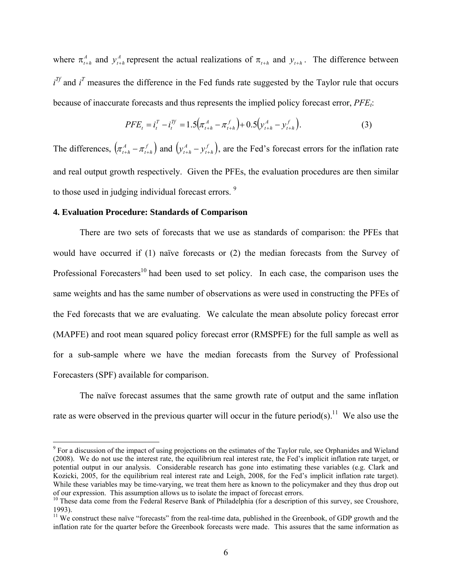where  $\pi_{i+h}^A$  and  $y_{i+h}^A$  represent the actual realizations of  $\pi_{i+h}$  and  $y_{i+h}$ . The difference between  $i<sup>Tf</sup>$  and  $i<sup>T</sup>$  measures the difference in the Fed funds rate suggested by the Taylor rule that occurs because of inaccurate forecasts and thus represents the implied policy forecast error, *PFEt*:

$$
PFE_t = i_t^T - i_t^{Tf} = 1.5(\pi_{t+h}^A - \pi_{t+h}^f) + 0.5(y_{t+h}^A - y_{t+h}^f).
$$
\n(3)

The differences,  $(\pi_{t+h}^A - \pi_{t+h}^f)$  and  $(y_{t+h}^A - y_{t+h}^f)$  $y_{t+h}^A - y_{t+h}^f$ , are the Fed's forecast errors for the inflation rate and real output growth respectively. Given the PFEs, the evaluation procedures are then similar to those used in judging individual forecast errors.  $9$ 

## **4. Evaluation Procedure: Standards of Comparison**

 $\overline{a}$ 

There are two sets of forecasts that we use as standards of comparison: the PFEs that would have occurred if (1) naïve forecasts or (2) the median forecasts from the Survey of Professional Forecasters<sup>10</sup> had been used to set policy. In each case, the comparison uses the same weights and has the same number of observations as were used in constructing the PFEs of the Fed forecasts that we are evaluating. We calculate the mean absolute policy forecast error (MAPFE) and root mean squared policy forecast error (RMSPFE) for the full sample as well as for a sub-sample where we have the median forecasts from the Survey of Professional Forecasters (SPF) available for comparison.

The naïve forecast assumes that the same growth rate of output and the same inflation rate as were observed in the previous quarter will occur in the future period(s).<sup>11</sup> We also use the

 $9^9$  For a discussion of the impact of using projections on the estimates of the Taylor rule, see Orphanides and Wieland (2008). We do not use the interest rate, the equilibrium real interest rate, the Fed's implicit inflation rate target, or potential output in our analysis. Considerable research has gone into estimating these variables (e.g. Clark and Kozicki, 2005, for the equilibrium real interest rate and Leigh, 2008, for the Fed's implicit inflation rate target). While these variables may be time-varying, we treat them here as known to the policymaker and they thus drop out of our expression. This assumption allows us to isolate the impact of forecast errors. 10 These data come from the Federal Reserve Bank of Philadelphia (for a description of this survey, see Croushore,

<sup>1993).</sup> 

<sup>&</sup>lt;sup>11</sup> We construct these naïve "forecasts" from the real-time data, published in the Greenbook, of GDP growth and the inflation rate for the quarter before the Greenbook forecasts were made. This assures that the same information as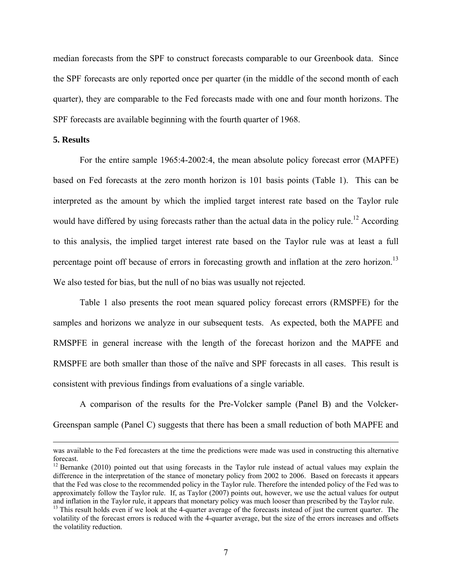median forecasts from the SPF to construct forecasts comparable to our Greenbook data. Since the SPF forecasts are only reported once per quarter (in the middle of the second month of each quarter), they are comparable to the Fed forecasts made with one and four month horizons. The SPF forecasts are available beginning with the fourth quarter of 1968.

## **5. Results**

For the entire sample 1965:4-2002:4, the mean absolute policy forecast error (MAPFE) based on Fed forecasts at the zero month horizon is 101 basis points (Table 1). This can be interpreted as the amount by which the implied target interest rate based on the Taylor rule would have differed by using forecasts rather than the actual data in the policy rule.<sup>12</sup> According to this analysis, the implied target interest rate based on the Taylor rule was at least a full percentage point off because of errors in forecasting growth and inflation at the zero horizon.<sup>13</sup> We also tested for bias, but the null of no bias was usually not rejected.

Table 1 also presents the root mean squared policy forecast errors (RMSPFE) for the samples and horizons we analyze in our subsequent tests. As expected, both the MAPFE and RMSPFE in general increase with the length of the forecast horizon and the MAPFE and RMSPFE are both smaller than those of the naïve and SPF forecasts in all cases. This result is consistent with previous findings from evaluations of a single variable.

A comparison of the results for the Pre-Volcker sample (Panel B) and the Volcker-Greenspan sample (Panel C) suggests that there has been a small reduction of both MAPFE and

was available to the Fed forecasters at the time the predictions were made was used in constructing this alternative forecast.

<sup>&</sup>lt;sup>12</sup> Bernanke (2010) pointed out that using forecasts in the Taylor rule instead of actual values may explain the difference in the interpretation of the stance of monetary policy from 2002 to 2006. Based on forecasts it appears that the Fed was close to the recommended policy in the Taylor rule. Therefore the intended policy of the Fed was to approximately follow the Taylor rule. If, as Taylor (2007) points out, however, we use the actual values for output and inflation in the Taylor rule, it appears that monetary policy was much looser than prescribed by the T

<sup>&</sup>lt;sup>13</sup> This result holds even if we look at the 4-quarter average of the forecasts instead of just the current quarter. The volatility of the forecast errors is reduced with the 4-quarter average, but the size of the errors increases and offsets the volatility reduction.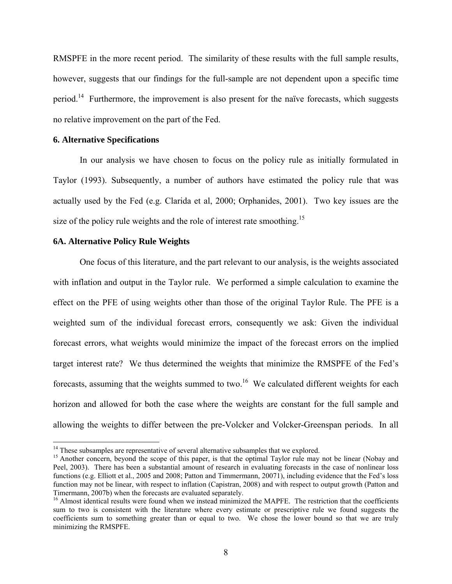RMSPFE in the more recent period. The similarity of these results with the full sample results, however, suggests that our findings for the full-sample are not dependent upon a specific time period.<sup>14</sup> Furthermore, the improvement is also present for the naïve forecasts, which suggests no relative improvement on the part of the Fed.

#### **6. Alternative Specifications**

In our analysis we have chosen to focus on the policy rule as initially formulated in Taylor (1993). Subsequently, a number of authors have estimated the policy rule that was actually used by the Fed (e.g. Clarida et al, 2000; Orphanides, 2001). Two key issues are the size of the policy rule weights and the role of interest rate smoothing.<sup>15</sup>

#### **6A. Alternative Policy Rule Weights**

1

One focus of this literature, and the part relevant to our analysis, is the weights associated with inflation and output in the Taylor rule. We performed a simple calculation to examine the effect on the PFE of using weights other than those of the original Taylor Rule. The PFE is a weighted sum of the individual forecast errors, consequently we ask: Given the individual forecast errors, what weights would minimize the impact of the forecast errors on the implied target interest rate? We thus determined the weights that minimize the RMSPFE of the Fed's forecasts, assuming that the weights summed to two.<sup>16</sup> We calculated different weights for each horizon and allowed for both the case where the weights are constant for the full sample and allowing the weights to differ between the pre-Volcker and Volcker-Greenspan periods. In all

<sup>&</sup>lt;sup>14</sup> These subsamples are representative of several alternative subsamples that we explored.<br><sup>15</sup> Another concern, beyond the scope of this paper, is that the optimal Taylor rule may not be linear (Nobay and Peel, 2003). There has been a substantial amount of research in evaluating forecasts in the case of nonlinear loss functions (e.g. Elliott et al., 2005 and 2008; Patton and Timmermann, 20071), including evidence that the Fed's loss function may not be linear, with respect to inflation (Capistran, 2008) and with respect to output growth (Patton and Timermann, 2007b) when the forecasts are evaluated separately.<br><sup>16</sup> Almost identical results were found when we instead minimized the MAPFE. The restriction that the coefficients

sum to two is consistent with the literature where every estimate or prescriptive rule we found suggests the coefficients sum to something greater than or equal to two. We chose the lower bound so that we are truly minimizing the RMSPFE.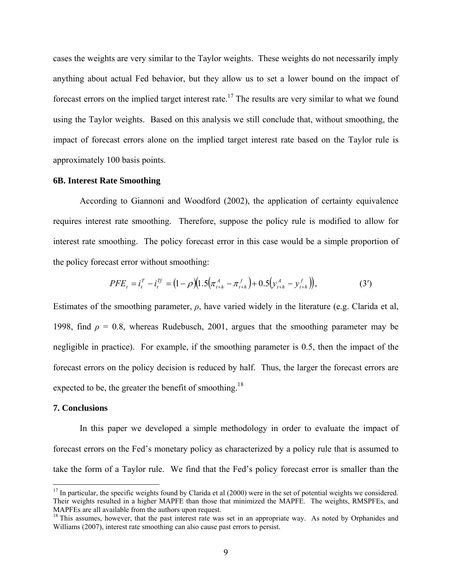cases the weights are very similar to the Taylor weights. These weights do not necessarily imply anything about actual Fed behavior, but they allow us to set a lower bound on the impact of forecast errors on the implied target interest rate.<sup>17</sup> The results are very similar to what we found using the Taylor weights. Based on this analysis we still conclude that, without smoothing, the impact of forecast errors alone on the implied target interest rate based on the Taylor rule is approximately 100 basis points.

#### **6B. Interest Rate Smoothing**

According to Giannoni and Woodford (2002), the application of certainty equivalence requires interest rate smoothing. Therefore, suppose the policy rule is modified to allow for interest rate smoothing. The policy forecast error in this case would be a simple proportion of the policy forecast error without smoothing:

$$
PFE_t = i_t^T - i_t^T = (1 - \rho)(1.5(\pi_{t+h}^A - \pi_{t+h}^f) + 0.5(\mathbf{y}_{t+h}^A - \mathbf{y}_{t+h}^f)),
$$
\n(3')

Estimates of the smoothing parameter, *ρ*, have varied widely in the literature (e.g. Clarida et al, 1998, find  $\rho = 0.8$ , whereas Rudebusch, 2001, argues that the smoothing parameter may be negligible in practice). For example, if the smoothing parameter is 0.5, then the impact of the forecast errors on the policy decision is reduced by half. Thus, the larger the forecast errors are expected to be, the greater the benefit of smoothing.<sup>18</sup>

## **7. Conclusions**

 $\overline{a}$ 

In this paper we developed a simple methodology in order to evaluate the impact of forecast errors on the Fed's monetary policy as characterized by a policy rule that is assumed to take the form of a Taylor rule. We find that the Fed's policy forecast error is smaller than the

 $17$  In particular, the specific weights found by Clarida et al (2000) were in the set of potential weights we considered. Their weights resulted in a higher MAPFE than those that minimized the MAPFE. The weights, RMSPFEs, and

 $18$  This assumes, however, that the past interest rate was set in an appropriate way. As noted by Orphanides and Williams (2007), interest rate smoothing can also cause past errors to persist.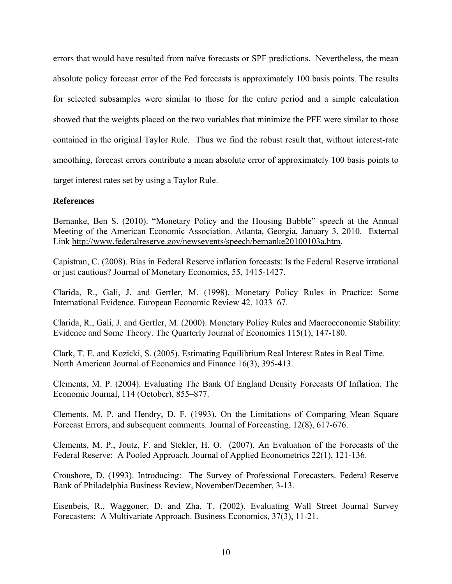errors that would have resulted from naïve forecasts or SPF predictions. Nevertheless, the mean absolute policy forecast error of the Fed forecasts is approximately 100 basis points. The results for selected subsamples were similar to those for the entire period and a simple calculation showed that the weights placed on the two variables that minimize the PFE were similar to those contained in the original Taylor Rule. Thus we find the robust result that, without interest-rate smoothing, forecast errors contribute a mean absolute error of approximately 100 basis points to target interest rates set by using a Taylor Rule.

## **References**

Bernanke, Ben S. (2010). "Monetary Policy and the Housing Bubble" speech at the Annual Meeting of the American Economic Association. Atlanta, Georgia, January 3, 2010. External Link http://www.federalreserve.gov/newsevents/speech/bernanke20100103a.htm.

Capistran, C. (2008). Bias in Federal Reserve inflation forecasts: Is the Federal Reserve irrational or just cautious? Journal of Monetary Economics, 55, 1415-1427.

Clarida, R., Gali, J. and Gertler, M. (1998). Monetary Policy Rules in Practice: Some International Evidence. European Economic Review 42, 1033–67.

Clarida, R., Gali, J. and Gertler, M. (2000). Monetary Policy Rules and Macroeconomic Stability: Evidence and Some Theory. The Quarterly Journal of Economics 115(1), 147-180.

Clark, T. E. and Kozicki, S. (2005). Estimating Equilibrium Real Interest Rates in Real Time. North American Journal of Economics and Finance 16(3), 395-413.

Clements, M. P. (2004). Evaluating The Bank Of England Density Forecasts Of Inflation. The Economic Journal, 114 (October), 855–877.

Clements, M. P. and Hendry, D. F. (1993). On the Limitations of Comparing Mean Square Forecast Errors, and subsequent comments. Journal of Forecasting*,* 12(8), 617-676.

Clements, M. P., Joutz, F. and Stekler, H. O. (2007). An Evaluation of the Forecasts of the Federal Reserve: A Pooled Approach. Journal of Applied Econometrics 22(1), 121-136.

Croushore, D. (1993). Introducing: The Survey of Professional Forecasters. Federal Reserve Bank of Philadelphia Business Review, November/December, 3-13.

Eisenbeis, R., Waggoner, D. and Zha, T. (2002). Evaluating Wall Street Journal Survey Forecasters: A Multivariate Approach. Business Economics, 37(3), 11-21.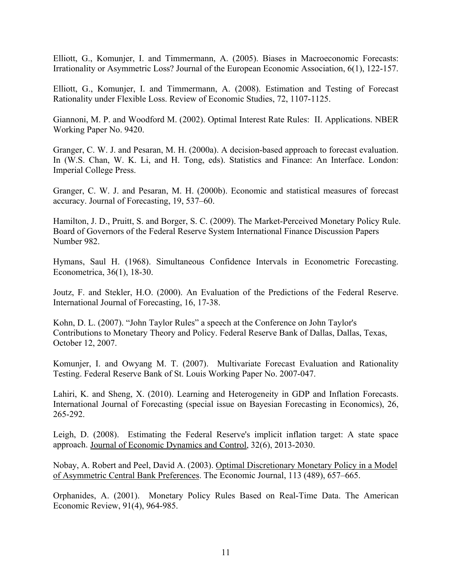Elliott, G., Komunjer, I. and Timmermann, A. (2005). Biases in Macroeconomic Forecasts: Irrationality or Asymmetric Loss? Journal of the European Economic Association, 6(1), 122-157.

Elliott, G., Komunjer, I. and Timmermann, A. (2008). Estimation and Testing of Forecast Rationality under Flexible Loss. Review of Economic Studies, 72, 1107-1125.

Giannoni, M. P. and Woodford M. (2002). Optimal Interest Rate Rules: II. Applications. NBER Working Paper No. 9420.

Granger, C. W. J. and Pesaran, M. H. (2000a). A decision-based approach to forecast evaluation. In (W.S. Chan, W. K. Li, and H. Tong, eds). Statistics and Finance: An Interface. London: Imperial College Press.

Granger, C. W. J. and Pesaran, M. H. (2000b). Economic and statistical measures of forecast accuracy. Journal of Forecasting, 19, 537–60.

Hamilton, J. D., Pruitt, S. and Borger, S. C. (2009). The Market-Perceived Monetary Policy Rule. Board of Governors of the Federal Reserve System International Finance Discussion Papers Number 982.

Hymans, Saul H. (1968). Simultaneous Confidence Intervals in Econometric Forecasting. Econometrica, 36(1), 18-30.

Joutz, F. and Stekler, H.O. (2000). An Evaluation of the Predictions of the Federal Reserve. International Journal of Forecasting, 16, 17-38.

Kohn, D. L. (2007). "John Taylor Rules" a speech at the Conference on John Taylor's Contributions to Monetary Theory and Policy. Federal Reserve Bank of Dallas, Dallas, Texas, October 12, 2007.

Komunjer, I. and Owyang M. T. (2007). Multivariate Forecast Evaluation and Rationality Testing. Federal Reserve Bank of St. Louis Working Paper No. 2007-047.

Lahiri, K. and Sheng, X. (2010). Learning and Heterogeneity in GDP and Inflation Forecasts. International Journal of Forecasting (special issue on Bayesian Forecasting in Economics), 26, 265-292.

Leigh, D. (2008). Estimating the Federal Reserve's implicit inflation target: A state space approach. Journal of Economic Dynamics and Control, 32(6), 2013-2030.

Nobay, A. Robert and Peel, David A. (2003). Optimal Discretionary Monetary Policy in a Model of Asymmetric Central Bank Preferences. The Economic Journal, 113 (489), 657–665.

Orphanides, A. (2001). Monetary Policy Rules Based on Real-Time Data. The American Economic Review, 91(4), 964-985.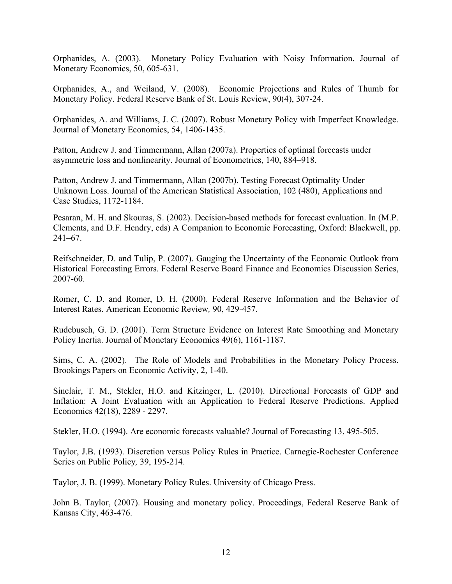Orphanides, A. (2003). Monetary Policy Evaluation with Noisy Information. Journal of Monetary Economics, 50, 605-631.

Orphanides, A., and Weiland, V. (2008). Economic Projections and Rules of Thumb for Monetary Policy. Federal Reserve Bank of St. Louis Review, 90(4), 307-24.

Orphanides, A. and Williams, J. C. (2007). Robust Monetary Policy with Imperfect Knowledge. Journal of Monetary Economics, 54, 1406-1435.

Patton, Andrew J. and Timmermann, Allan (2007a). Properties of optimal forecasts under asymmetric loss and nonlinearity. Journal of Econometrics, 140, 884–918.

Patton, Andrew J. and Timmermann, Allan (2007b). Testing Forecast Optimality Under Unknown Loss. Journal of the American Statistical Association, 102 (480), Applications and Case Studies, 1172-1184.

Pesaran, M. H. and Skouras, S. (2002). Decision-based methods for forecast evaluation. In (M.P. Clements, and D.F. Hendry, eds) A Companion to Economic Forecasting, Oxford: Blackwell, pp. 241–67.

Reifschneider, D. and Tulip, P. (2007). Gauging the Uncertainty of the Economic Outlook from Historical Forecasting Errors. Federal Reserve Board Finance and Economics Discussion Series, 2007-60.

Romer, C. D. and Romer, D. H. (2000). Federal Reserve Information and the Behavior of Interest Rates. American Economic Review*,* 90, 429-457.

Rudebusch, G. D. (2001). Term Structure Evidence on Interest Rate Smoothing and Monetary Policy Inertia. Journal of Monetary Economics 49(6), 1161-1187.

Sims, C. A. (2002). The Role of Models and Probabilities in the Monetary Policy Process. Brookings Papers on Economic Activity, 2, 1-40.

Sinclair, T. M., Stekler, H.O. and Kitzinger, L. (2010). Directional Forecasts of GDP and Inflation: A Joint Evaluation with an Application to Federal Reserve Predictions. Applied Economics 42(18), 2289 - 2297.

Stekler, H.O. (1994). Are economic forecasts valuable? Journal of Forecasting 13, 495-505.

Taylor, J.B. (1993). Discretion versus Policy Rules in Practice. Carnegie-Rochester Conference Series on Public Policy*,* 39, 195-214.

Taylor, J. B. (1999). Monetary Policy Rules. University of Chicago Press.

John B. Taylor, (2007). Housing and monetary policy. Proceedings, Federal Reserve Bank of Kansas City, 463-476.